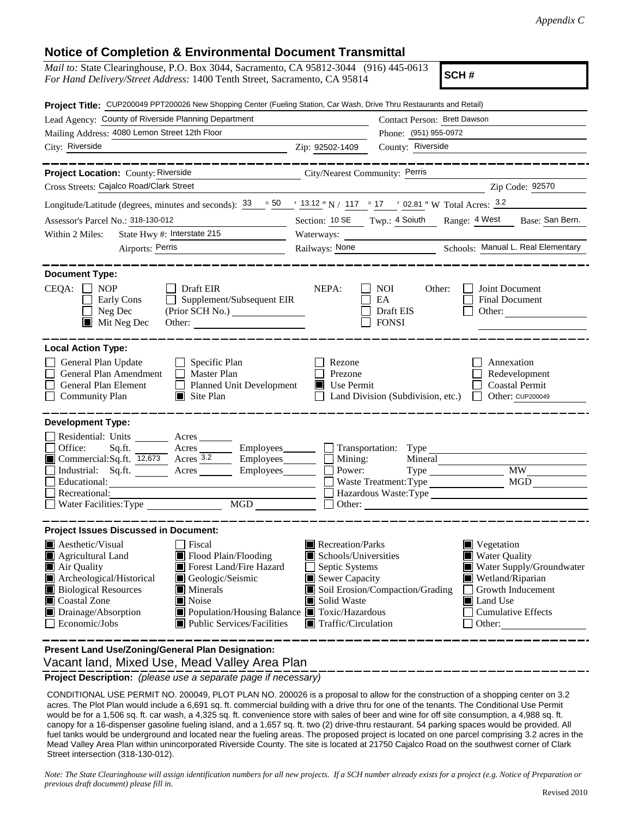## **Notice of Completion & Environmental Document Transmittal**

| <i>Mail to:</i> State Clearinghouse, P.O. Box 3044, Sacramento, CA 95812-3044 (916) 445-0613<br>SCH#<br>For Hand Delivery/Street Address: 1400 Tenth Street, Sacramento, CA 95814                                                           |                                      |                                                                                            |                                                                          |  |
|---------------------------------------------------------------------------------------------------------------------------------------------------------------------------------------------------------------------------------------------|--------------------------------------|--------------------------------------------------------------------------------------------|--------------------------------------------------------------------------|--|
| Project Title: CUP200049 PPT200026 New Shopping Center (Fueling Station, Car Wash, Drive Thru Restaurants and Retail)                                                                                                                       |                                      |                                                                                            |                                                                          |  |
| Lead Agency: County of Riverside Planning Department                                                                                                                                                                                        |                                      | Contact Person: Brett Dawson                                                               |                                                                          |  |
| Mailing Address: 4080 Lemon Street 12th Floor                                                                                                                                                                                               |                                      | Phone: (951) 955-0972                                                                      |                                                                          |  |
| City: Riverside                                                                                                                                                                                                                             | Zip: 92502-1409                      | County: Riverside                                                                          |                                                                          |  |
| ___________<br>City/Nearest Community: Perris<br>Project Location: County: Riverside                                                                                                                                                        |                                      |                                                                                            |                                                                          |  |
| Cross Streets: Cajalco Road/Clark Street                                                                                                                                                                                                    |                                      | Zip Code: 92570                                                                            |                                                                          |  |
| Longitude/Latitude (degrees, minutes and seconds): $\frac{33}{50}$ $\frac{50}{13.12}$ N / 117 $\degree$ 17 $\degree$ 17 $\degree$ 12.81 " W Total Acres: $\frac{3.2}{5.2}$                                                                  |                                      |                                                                                            |                                                                          |  |
| Assessor's Parcel No.: 318-130-012                                                                                                                                                                                                          |                                      |                                                                                            | Section: 10 SE Twp.: 4 Soiuth Range: 4 West Base: San Bern.              |  |
| State Hwy #: Interstate 215<br>Within 2 Miles:                                                                                                                                                                                              |                                      |                                                                                            |                                                                          |  |
| Airports: Perris<br><u> 1990 - Jan Barbara III, politik politik (</u>                                                                                                                                                                       | Railways: None                       |                                                                                            | Schools: Manual L. Real Elementary                                       |  |
|                                                                                                                                                                                                                                             |                                      |                                                                                            |                                                                          |  |
| <b>Document Type:</b><br>$CEQA: \Box NOP$<br>Draft EIR<br>Supplement/Subsequent EIR<br>Early Cons<br>$\Box$<br>Neg Dec<br>Mit Neg Dec<br>Other:                                                                                             | NEPA:                                | NOI<br>Other:<br>EA<br>Draft EIS<br><b>FONSI</b>                                           | Joint Document<br><b>Final Document</b><br>Other:                        |  |
| <b>Local Action Type:</b><br>General Plan Update<br>$\Box$ Specific Plan<br>General Plan Amendment<br>$\Box$ Master Plan<br>General Plan Element<br><b>Planned Unit Development</b><br>$\perp$<br><b>Community Plan</b><br>$\Box$ Site Plan | Rezone<br>Prezone<br>Use Permit<br>П | Land Division (Subdivision, etc.)                                                          | Annexation<br>Redevelopment<br><b>Coastal Permit</b><br>Other: CUP200049 |  |
| <b>Development Type:</b>                                                                                                                                                                                                                    |                                      |                                                                                            |                                                                          |  |
| Residential: Units ________ Acres _______                                                                                                                                                                                                   |                                      |                                                                                            |                                                                          |  |
| Office:<br>Sq.ft.<br>Acres Employees<br>Commercial:Sq.ft. 12,673 Acres 3.2<br>$Employes$ <sub>__________</sub>                                                                                                                              | Mining:                              | $\Box$ Transportation: Type $\Box$                                                         |                                                                          |  |
| Industrial: Sq.ft.<br>Employees_______<br>Acres                                                                                                                                                                                             | Power:                               |                                                                                            | Mineral<br><b>MW</b>                                                     |  |
| Educational:                                                                                                                                                                                                                                |                                      | Waste Treatment: Type                                                                      | MGD                                                                      |  |
| Recreational:                                                                                                                                                                                                                               |                                      | Hazardous Waste: Type                                                                      |                                                                          |  |
| <b>MGD</b><br>Water Facilities: Type                                                                                                                                                                                                        |                                      | Other:                                                                                     |                                                                          |  |
| <b>Project Issues Discussed in Document:</b>                                                                                                                                                                                                |                                      |                                                                                            |                                                                          |  |
| Aesthetic/Visual<br>Fiscal                                                                                                                                                                                                                  | Recreation/Parks                     |                                                                                            | $\blacksquare$ Vegetation                                                |  |
| Agricultural Land<br>Flood Plain/Flooding                                                                                                                                                                                                   |                                      | Schools/Universities<br><b>Water Quality</b>                                               |                                                                          |  |
| Forest Land/Fire Hazard<br>Air Quality                                                                                                                                                                                                      |                                      | Water Supply/Groundwater<br>Septic Systems                                                 |                                                                          |  |
| Archeological/Historical<br>Geologic/Seismic<br><b>Biological Resources</b><br>Minerals                                                                                                                                                     |                                      | Sewer Capacity<br>Wetland/Riparian<br>Soil Erosion/Compaction/Grading<br>Growth Inducement |                                                                          |  |
| Coastal Zone<br>Noise<br>IЦ                                                                                                                                                                                                                 | Solid Waste                          | Land Use                                                                                   |                                                                          |  |
| Population/Housing Balance Toxic/Hazardous<br>Drainage/Absorption                                                                                                                                                                           |                                      | <b>Cumulative Effects</b>                                                                  |                                                                          |  |
| Economic/Jobs<br>Public Services/Facilities                                                                                                                                                                                                 | Traffic/Circulation<br>Other:        |                                                                                            |                                                                          |  |
| and Use/Zening/Conoral Plan Decignation                                                                                                                                                                                                     |                                      |                                                                                            |                                                                          |  |

 Vacant land, Mixed Use, Mead Valley Area Plan **Present Land Use/Zoning/General Plan Designation:**

**Project Description:** *(please use a separate page if necessary)*

 CONDITIONAL USE PERMIT NO. 200049, PLOT PLAN NO. 200026 is a proposal to allow for the construction of a shopping center on 3.2 acres. The Plot Plan would include a 6,691 sq. ft. commercial building with a drive thru for one of the tenants. The Conditional Use Permit would be for a 1,506 sq. ft. car wash, a 4,325 sq. ft. convenience store with sales of beer and wine for off site consumption, a 4,988 sq. ft. canopy for a 16-dispenser gasoline fueling island, and a 1,657 sq. ft. two (2) drive-thru restaurant. 54 parking spaces would be provided. All fuel tanks would be underground and located near the fueling areas. The proposed project is located on one parcel comprising 3.2 acres in the Mead Valley Area Plan within unincorporated Riverside County. The site is located at 21750 Cajalco Road on the southwest corner of Clark Street intersection (318-130-012).

*Note: The State Clearinghouse will assign identification numbers for all new projects. If a SCH number already exists for a project (e.g. Notice of Preparation or previous draft document) please fill in.*